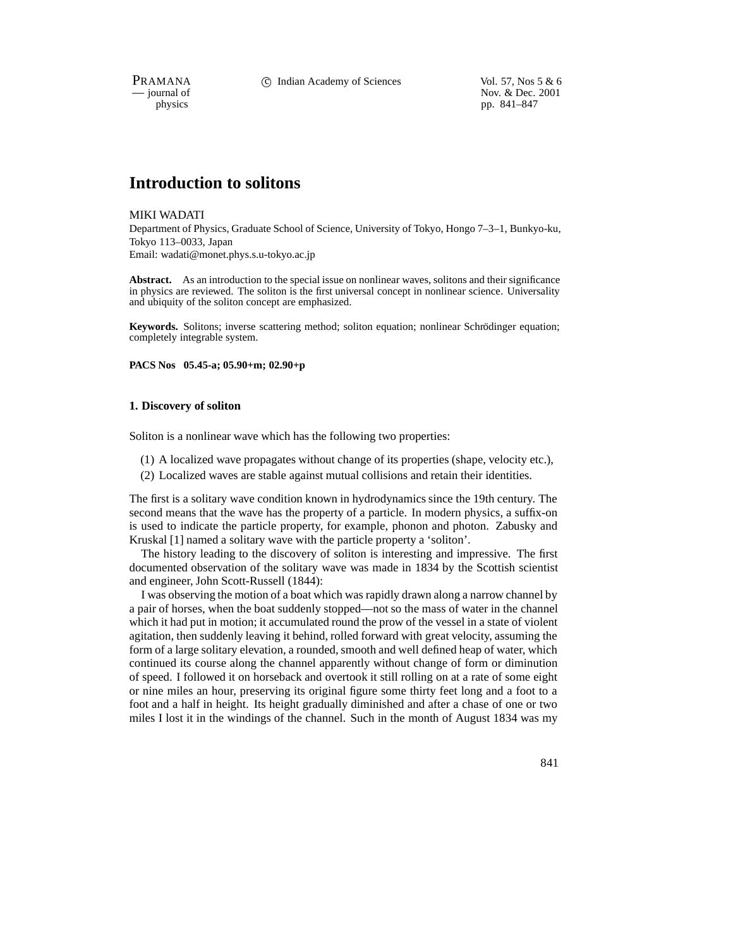PRAMANA 
compared to Compared Compared Compared Compared Compared Vol. 57, Nos 5 & 6<br>
compared to Compared Compared Nov. & Dec. 2001 position of Nov. & Dec. 2001<br>
physics pp. 841–847 pp. 841–847

# **Introduction to solitons**

### MIKI WADATI

Department of Physics, Graduate School of Science, University of Tokyo, Hongo 7–3–1, Bunkyo-ku, Tokyo 113–0033, Japan Email: wadati@monet.phys.s.u-tokyo.ac.jp

**Abstract.** As an introduction to the special issue on nonlinear waves, solitons and their significance in physics are reviewed. The soliton is the first universal concept in nonlinear science. Universality and ubiquity of the soliton concept are emphasized.

Keywords. Solitons; inverse scattering method; soliton equation; nonlinear Schrödinger equation; completely integrable system.

#### **PACS Nos 05.45-a; 05.90+m; 02.90+p**

## **1. Discovery of soliton**

Soliton is a nonlinear wave which has the following two properties:

- (1) A localized wave propagates without change of its properties (shape, velocity etc.),
- (2) Localized waves are stable against mutual collisions and retain their identities.

The first is a solitary wave condition known in hydrodynamics since the 19th century. The second means that the wave has the property of a particle. In modern physics, a suffix-on is used to indicate the particle property, for example, phonon and photon. Zabusky and Kruskal [1] named a solitary wave with the particle property a 'soliton'.

The history leading to the discovery of soliton is interesting and impressive. The first documented observation of the solitary wave was made in 1834 by the Scottish scientist and engineer, John Scott-Russell (1844):

I was observing the motion of a boat which was rapidly drawn along a narrow channel by a pair of horses, when the boat suddenly stopped—not so the mass of water in the channel which it had put in motion; it accumulated round the prow of the vessel in a state of violent agitation, then suddenly leaving it behind, rolled forward with great velocity, assuming the form of a large solitary elevation, a rounded, smooth and well defined heap of water, which continued its course along the channel apparently without change of form or diminution of speed. I followed it on horseback and overtook it still rolling on at a rate of some eight or nine miles an hour, preserving its original figure some thirty feet long and a foot to a foot and a half in height. Its height gradually diminished and after a chase of one or two miles I lost it in the windings of the channel. Such in the month of August 1834 was my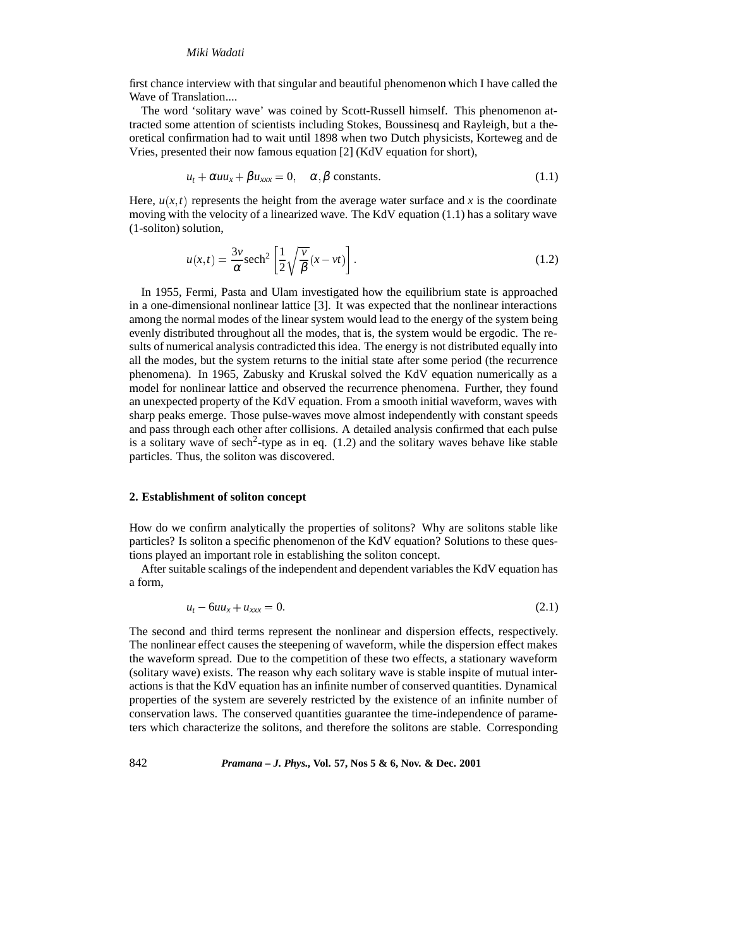# *Miki Wadati*

first chance interview with that singular and beautiful phenomenon which I have called the Wave of Translation....

The word 'solitary wave' was coined by Scott-Russell himself. This phenomenon attracted some attention of scientists including Stokes, Boussinesq and Rayleigh, but a theoretical confirmation had to wait until 1898 when two Dutch physicists, Korteweg and de Vries, presented their now famous equation [2] (KdV equation for short),

$$
u_t + \alpha u u_x + \beta u_{xxx} = 0, \quad \alpha, \beta \text{ constants.} \tag{1.1}
$$

Here,  $u(x,t)$  represents the height from the average water surface and x is the coordinate moving with the velocity of a linearized wave. The KdV equation (1.1) has a solitary wave (1-soliton) solution,

$$
u(x,t) = \frac{3v}{\alpha} \mathrm{sech}^2 \left[ \frac{1}{2} \sqrt{\frac{v}{\beta}} (x - vt) \right].
$$
 (1.2)

In 1955, Fermi, Pasta and Ulam investigated how the equilibrium state is approached in a one-dimensional nonlinear lattice [3]. It was expected that the nonlinear interactions among the normal modes of the linear system would lead to the energy of the system being evenly distributed throughout all the modes, that is, the system would be ergodic. The results of numerical analysis contradicted this idea. The energy is not distributed equally into all the modes, but the system returns to the initial state after some period (the recurrence phenomena). In 1965, Zabusky and Kruskal solved the KdV equation numerically as a model for nonlinear lattice and observed the recurrence phenomena. Further, they found an unexpected property of the KdV equation. From a smooth initial waveform, waves with sharp peaks emerge. Those pulse-waves move almost independently with constant speeds and pass through each other after collisions. A detailed analysis confirmed that each pulse is a solitary wave of sech<sup>2</sup>-type as in eq.  $(1.2)$  and the solitary waves behave like stable particles. Thus, the soliton was discovered.

#### **2. Establishment of soliton concept**

How do we confirm analytically the properties of solitons? Why are solitons stable like particles? Is soliton a specific phenomenon of the KdV equation? Solutions to these questions played an important role in establishing the soliton concept.

After suitable scalings of the independent and dependent variables the KdV equation has a form,

$$
u_t - 6uu_x + u_{xxx} = 0. \t\t(2.1)
$$

The second and third terms represent the nonlinear and dispersion effects, respectively. The nonlinear effect causes the steepening of waveform, while the dispersion effect makes the waveform spread. Due to the competition of these two effects, a stationary waveform (solitary wave) exists. The reason why each solitary wave is stable inspite of mutual interactions is that the KdV equation has an infinite number of conserved quantities. Dynamical properties of the system are severely restricted by the existence of an infinite number of conservation laws. The conserved quantities guarantee the time-independence of parameters which characterize the solitons, and therefore the solitons are stable. Corresponding

# 842 *Pramana – J. Phys.,* **Vol. 57, Nos 5 & 6, Nov. & Dec. 2001**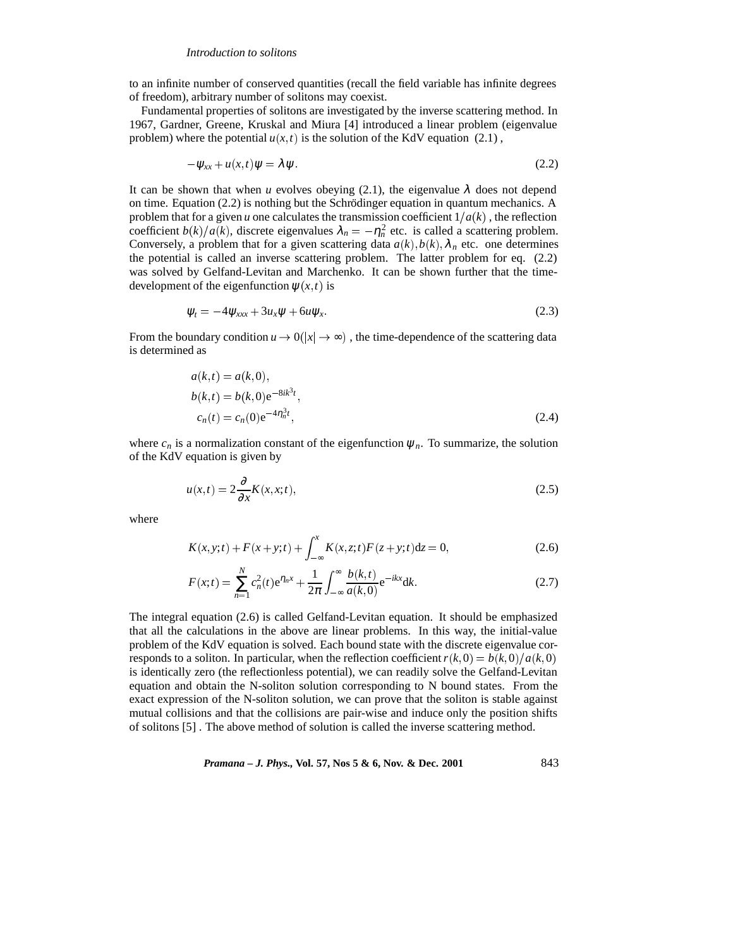#### *Introduction to solitons*

to an infinite number of conserved quantities (recall the field variable has infinite degrees of freedom), arbitrary number of solitons may coexist.

Fundamental properties of solitons are investigated by the inverse scattering method. In 1967, Gardner, Greene, Kruskal and Miura [4] introduced a linear problem (eigenvalue problem) where the potential  $u(x,t)$  is the solution of the KdV equation (2.1),

$$
-\psi_{xx} + u(x,t)\psi = \lambda \psi. \tag{2.2}
$$

It can be shown that when *u* evolves obeying (2.1), the eigenvalue  $\lambda$  does not depend on time. Equation  $(2.2)$  is nothing but the Schrödinger equation in quantum mechanics. A problem that for a given *u* one calculates the transmission coefficient  $1/a(k)$ , the reflection coefficient  $b(k)/a(k)$ , discrete eigenvalues  $\lambda_n = -\eta_n^2$  etc. is called a scattering problem. Conversely, a problem that for a given scattering data  $a(k)$ ,  $b(k)$ ,  $\lambda_n$  etc. one determines the potential is called an inverse scattering problem. The latter problem for eq. (2.2) was solved by Gelfand-Levitan and Marchenko. It can be shown further that the timedevelopment of the eigenfunction  $\psi(x, t)$  is

$$
\psi_t = -4\psi_{xxx} + 3u_x\psi + 6u\psi_x. \tag{2.3}
$$

From the boundary condition  $u \to 0(|x| \to \infty)$ , the time-dependence of the scattering data is determined as

$$
a(k,t) = a(k,0),
$$
  
\n
$$
b(k,t) = b(k,0)e^{-8ik^{3}t},
$$
  
\n
$$
c_{n}(t) = c_{n}(0)e^{-4\eta_{n}^{3}t},
$$
\n(2.4)

where  $c_n$  is a normalization constant of the eigenfunction  $\psi_n$ . To summarize, the solution of the KdV equation is given by

$$
u(x,t) = 2\frac{\partial}{\partial x}K(x,x;t),\tag{2.5}
$$

where

$$
K(x, y; t) + F(x + y; t) + \int_{-\infty}^{x} K(x, z; t) F(z + y; t) dz = 0,
$$
\n(2.6)

$$
F(x;t) = \sum_{n=1}^{N} c_n^2(t) e^{\eta_n x} + \frac{1}{2\pi} \int_{-\infty}^{\infty} \frac{b(k,t)}{a(k,0)} e^{-ikx} dk.
$$
 (2.7)

The integral equation (2.6) is called Gelfand-Levitan equation. It should be emphasized that all the calculations in the above are linear problems. In this way, the initial-value problem of the KdV equation is solved. Each bound state with the discrete eigenvalue corresponds to a soliton. In particular, when the reflection coefficient  $r(k, 0) = b(k, 0)/a(k, 0)$ is identically zero (the reflectionless potential), we can readily solve the Gelfand-Levitan equation and obtain the N-soliton solution corresponding to N bound states. From the exact expression of the N-soliton solution, we can prove that the soliton is stable against mutual collisions and that the collisions are pair-wise and induce only the position shifts of solitons [5] . The above method of solution is called the inverse scattering method.

*Pramana – J. Phys.,* **Vol. 57, Nos 5 & 6, Nov. & Dec. 2001** 843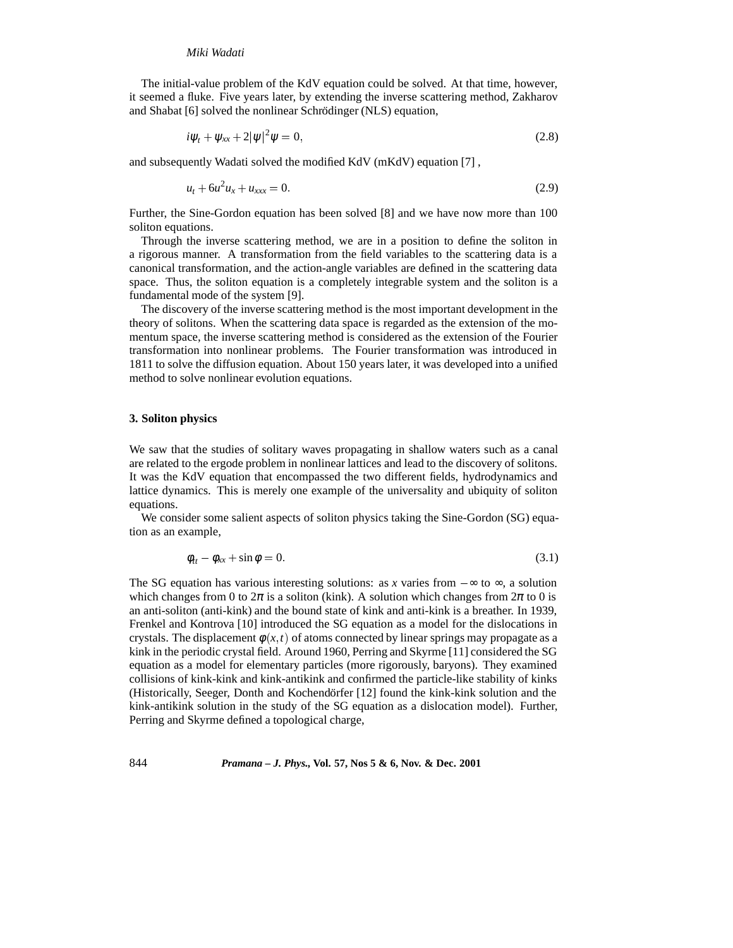## *Miki Wadati*

The initial-value problem of the KdV equation could be solved. At that time, however, it seemed a fluke. Five years later, by extending the inverse scattering method, Zakharov and Shabat [6] solved the nonlinear Schrödinger (NLS) equation,

$$
i\psi_t + \psi_{xx} + 2|\psi|^2 \psi = 0, \tag{2.8}
$$

and subsequently Wadati solved the modified KdV (mKdV) equation [7] ,

$$
u_t + 6u^2 u_x + u_{xxx} = 0. \tag{2.9}
$$

Further, the Sine-Gordon equation has been solved [8] and we have now more than 100 soliton equations.

Through the inverse scattering method, we are in a position to define the soliton in a rigorous manner. A transformation from the field variables to the scattering data is a canonical transformation, and the action-angle variables are defined in the scattering data space. Thus, the soliton equation is a completely integrable system and the soliton is a fundamental mode of the system [9].

The discovery of the inverse scattering method is the most important development in the theory of solitons. When the scattering data space is regarded as the extension of the momentum space, the inverse scattering method is considered as the extension of the Fourier transformation into nonlinear problems. The Fourier transformation was introduced in 1811 to solve the diffusion equation. About 150 years later, it was developed into a unified method to solve nonlinear evolution equations.

#### **3. Soliton physics**

We saw that the studies of solitary waves propagating in shallow waters such as a canal are related to the ergode problem in nonlinear lattices and lead to the discovery of solitons. It was the KdV equation that encompassed the two different fields, hydrodynamics and lattice dynamics. This is merely one example of the universality and ubiquity of soliton equations.

We consider some salient aspects of soliton physics taking the Sine-Gordon (SG) equation as an example,

$$
\phi_{tt} - \phi_{xx} + \sin \phi = 0. \tag{3.1}
$$

The SG equation has various interesting solutions: as *x* varies from  $-\infty$  to  $\infty$ , a solution which changes from 0 to  $2\pi$  is a soliton (kink). A solution which changes from  $2\pi$  to 0 is an anti-soliton (anti-kink) and the bound state of kink and anti-kink is a breather. In 1939, Frenkel and Kontrova [10] introduced the SG equation as a model for the dislocations in crystals. The displacement  $\phi(x,t)$  of atoms connected by linear springs may propagate as a kink in the periodic crystal field. Around 1960, Perring and Skyrme [11] considered the SG equation as a model for elementary particles (more rigorously, baryons). They examined collisions of kink-kink and kink-antikink and confirmed the particle-like stability of kinks (Historically, Seeger, Donth and Kochendörfer [12] found the kink-kink solution and the kink-antikink solution in the study of the SG equation as a dislocation model). Further, Perring and Skyrme defined a topological charge,

## 844 *Pramana – J. Phys.,* **Vol. 57, Nos 5 & 6, Nov. & Dec. 2001**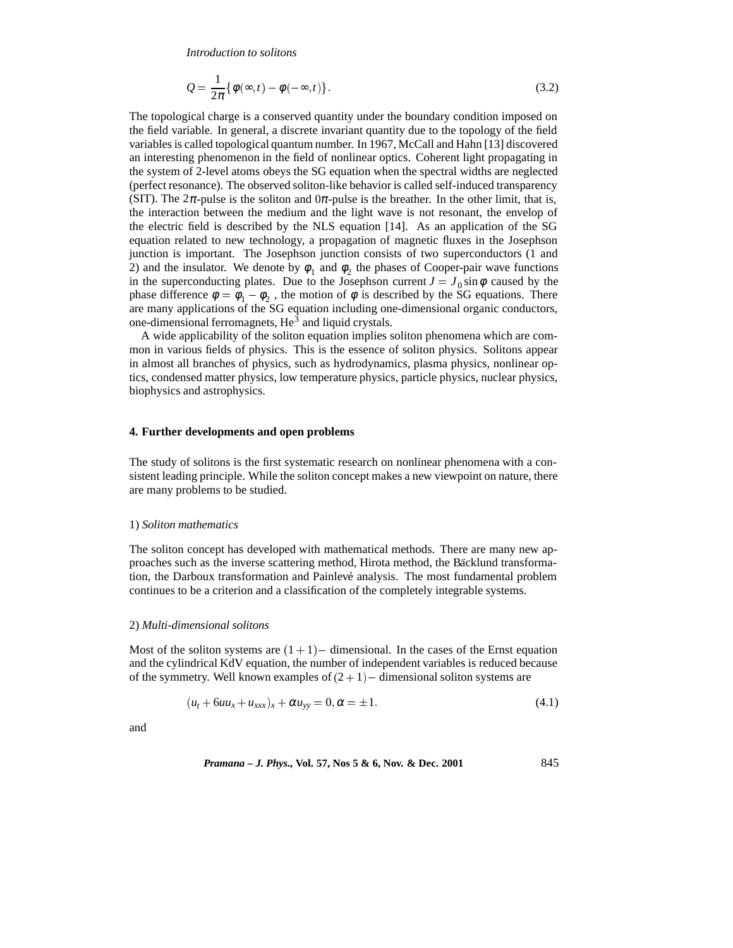*Introduction to solitons*

$$
Q = \frac{1}{2\pi} \{ \phi(\infty, t) - \phi(-\infty, t) \}.
$$
\n(3.2)

The topological charge is a conserved quantity under the boundary condition imposed on the field variable. In general, a discrete invariant quantity due to the topology of the field variables is called topological quantum number. In 1967, McCall and Hahn [13] discovered an interesting phenomenon in the field of nonlinear optics. Coherent light propagating in the system of 2-level atoms obeys the SG equation when the spectral widths are neglected (perfect resonance). The observed soliton-like behavior is called self-induced transparency (SIT). The  $2\pi$ -pulse is the soliton and  $0\pi$ -pulse is the breather. In the other limit, that is, the interaction between the medium and the light wave is not resonant, the envelop of the electric field is described by the NLS equation [14]. As an application of the SG equation related to new technology, a propagation of magnetic fluxes in the Josephson junction is important. The Josephson junction consists of two superconductors (1 and 2) and the insulator. We denote by  $\phi_1$  and  $\phi_2$  the phases of Cooper-pair wave functions in the superconducting plates. Due to the Josephson current  $J = J_0 \sin \phi$  caused by the phase difference  $\phi = \phi_1 - \phi_2$ , the motion of  $\phi$  is described by the SG equations. There are many applications of the SG equation including one-dimensional organic conductors, one-dimensional ferromagnets,  $He<sup>3</sup>$  and liquid crystals.

A wide applicability of the soliton equation implies soliton phenomena which are common in various fields of physics. This is the essence of soliton physics. Solitons appear in almost all branches of physics, such as hydrodynamics, plasma physics, nonlinear optics, condensed matter physics, low temperature physics, particle physics, nuclear physics, biophysics and astrophysics.

#### **4. Further developments and open problems**

The study of solitons is the first systematic research on nonlinear phenomena with a consistent leading principle. While the soliton concept makes a new viewpoint on nature, there are many problems to be studied.

## 1) *Soliton mathematics*

The soliton concept has developed with mathematical methods. There are many new approaches such as the inverse scattering method, Hirota method, the Bäcklund transformation, the Darboux transformation and Painlevé analysis. The most fundamental problem continues to be a criterion and a classification of the completely integrable systems.

## 2) *Multi-dimensional solitons*

Most of the soliton systems are  $(1 + 1)$  dimensional. In the cases of the Ernst equation and the cylindrical KdV equation, the number of independent variables is reduced because of the symmetry. Well known examples of  $(2 + 1)$  dimensional soliton systems are

$$
(u_t + 6uu_x + u_{xxx})_x + \alpha u_{yy} = 0, \alpha = \pm 1.
$$
\n(4.1)

and

*Pramana – J. Phys.,* **Vol. 57, Nos 5 & 6, Nov. & Dec. 2001** 845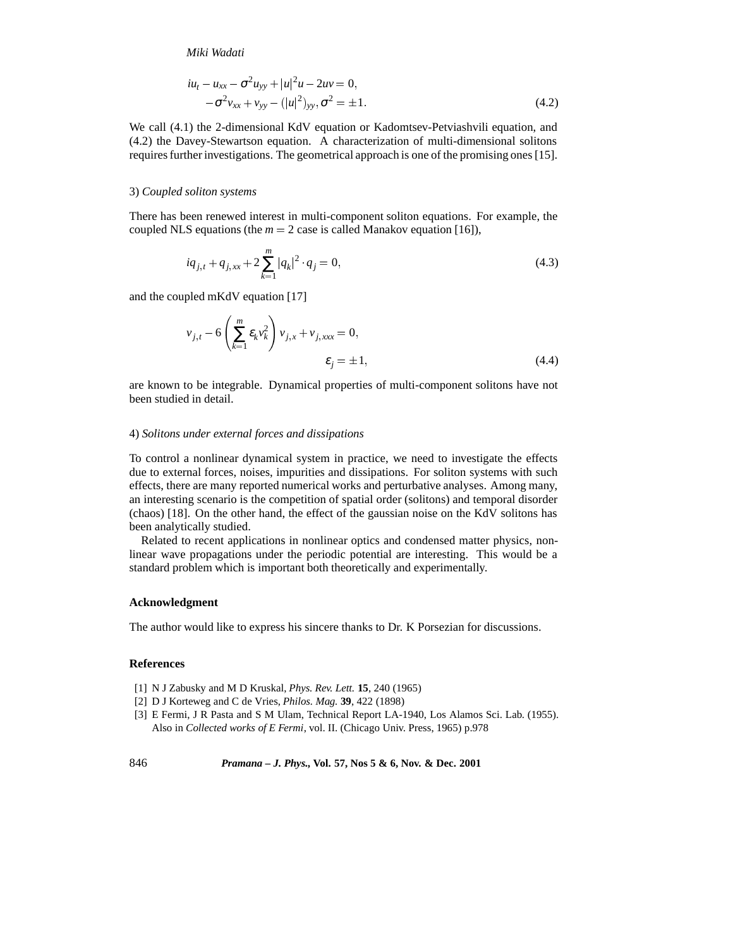*Miki Wadati*

$$
i u_t - u_{xx} - \sigma^2 u_{yy} + |u|^2 u - 2uv = 0,
$$
  
- $\sigma^2 v_{xx} + v_{yy} - (|u|^2)_{yy}, \sigma^2 = \pm 1.$  (4.2)

We call (4.1) the 2-dimensional KdV equation or Kadomtsev-Petviashvili equation, and (4.2) the Davey-Stewartson equation. A characterization of multi-dimensional solitons requires further investigations. The geometrical approach is one of the promising ones [15].

## 3) *Coupled soliton systems*

There has been renewed interest in multi-component soliton equations. For example, the coupled NLS equations (the  $m = 2$  case is called Manakov equation [16]),

$$
iq_{j,t} + q_{j,xx} + 2\sum_{k=1}^{m} |q_k|^2 \cdot q_j = 0,
$$
\n(4.3)

and the coupled mKdV equation [17]

$$
v_{j,t} - 6\left(\sum_{k=1}^{m} \varepsilon_k v_k^2\right) v_{j,x} + v_{j,xxx} = 0,
$$
  

$$
\varepsilon_j = \pm 1,
$$
 (4.4)

are known to be integrable. Dynamical properties of multi-component solitons have not been studied in detail.

# 4) *Solitons under external forces and dissipations*

To control a nonlinear dynamical system in practice, we need to investigate the effects due to external forces, noises, impurities and dissipations. For soliton systems with such effects, there are many reported numerical works and perturbative analyses. Among many, an interesting scenario is the competition of spatial order (solitons) and temporal disorder (chaos) [18]. On the other hand, the effect of the gaussian noise on the KdV solitons has been analytically studied.

Related to recent applications in nonlinear optics and condensed matter physics, nonlinear wave propagations under the periodic potential are interesting. This would be a standard problem which is important both theoretically and experimentally.

#### **Acknowledgment**

The author would like to express his sincere thanks to Dr. K Porsezian for discussions.

## **References**

- [1] N J Zabusky and M D Kruskal, *Phys. Rev. Lett.* **15**, 240 (1965)
- [2] D J Korteweg and C de Vries, *Philos. Mag.* **39**, 422 (1898)
- [3] E Fermi, J R Pasta and S M Ulam, Technical Report LA-1940, Los Alamos Sci. Lab. (1955). Also in *Collected works of E Fermi*, vol. II. (Chicago Univ. Press, 1965) p.978